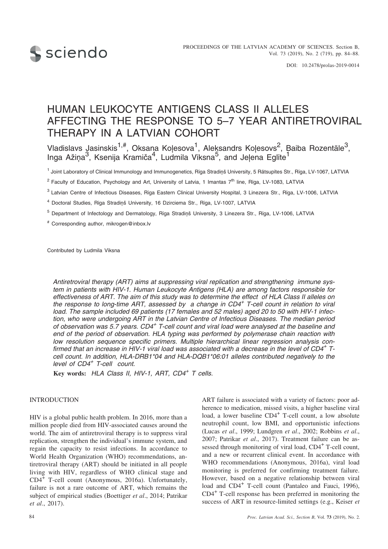

# HUMAN LEUKOCYTE ANTIGENS CLASS II ALLELES AFFECTING THE RESPONSE TO 5–7 YEAR ANTIRETROVIRAL THERAPY IN A LATVIAN COHORT

Vladislavs Jasinskis<sup>1,#</sup>, Oksana Koļesova<sup>1</sup>, Aleksandrs Koļesovs<sup>2</sup>, Baiba Rozentāle<sup>3</sup>, Inga Ažiņa<sup>3</sup>, Ksenija Kramiča<sup>4</sup>, Ludmila Vīksna<sup>5</sup>, and Jeļena Eglīte<sup>1</sup>

<sup>1</sup> Joint Laboratory of Clinical Immunology and Immunogenetics, Rīga Stradiņš University, 5 Rātsupītes Str., Rīga, LV-1067, LATVIA

<sup>2</sup> Faculty of Education, Psychology and Art, University of Latvia, 1 Imantas 7<sup>th</sup> line, Rīga, LV-1083, LATVIA

<sup>3</sup> Latvian Centre of Infectious Diseases, Rīga Eastern Clinical University Hospital, 3 Linezera Str., Rīga, LV-1006, LATVIA

<sup>4</sup> Doctoral Studies, Rīga Stradiņš University, 16 Dzirciema Str., Rīga, LV-1007, LATVIA

<sup>5</sup> Department of Infectology and Dermatology, Rīga Stradiņš University, 3 Linezera Str., Rīga, LV-1006, LATVIA

# Corresponding author, mikrogen@inbox.lv

Contributed by Ludmila Vîksna

*Antiretroviral therapy (ART) aims at suppressing viral replication and strengthening immune system in patients with HIV-1. Human Leukocyte Antigens (HLA) are among factors responsible for effectiveness of ART. The aim of this study was to determine the effect of HLA Class II alleles on the response to long-time ART, assessed by a change in CD4<sup>+</sup> T-cell count in relation to viral load. The sample included 69 patients (17 females and 52 males) aged 20 to 50 with HIV-1 infection, who were undergoing ART in the Latvian Centre of Infectious Diseases. The median period of observation was 5.7 years. CD4<sup>+</sup> T-cell count and viral load were analysed at the baseline and end of the period of observation. HLA typing was performed by polymerase chain reaction with low resolution sequence specific primers. Multiple hierarchical linear regression analysis confirmed that an increase in HIV-1 viral load was associated with a decrease in the level of CD4<sup>+</sup> Tcell count. In addition, HLA-DRB1\*04 and HLA-DQB1\*06:01 alleles contributed negatively to the level of CD4<sup>+</sup> T-cell count.*

**Key words:** *HLA Class II, HIV-1, ART, CD4<sup>+</sup> T cells.*

#### INTRODUCTION

HIV is a global public health problem. In 2016, more than a million people died from HIV-associated causes around the world. The aim of antiretroviral therapy is to suppress viral replication, strengthen the individual's immune system, and regain the capacity to resist infections. In accordance to World Health Organization (WHO) recommendations, antiretroviral therapy (ART) should be initiated in all people living with HIV, regardless of WHO clinical stage and CD4<sup>+</sup> T-cell count (Anonymous, 2016a). Unfortunately, failure is not a rare outcome of ART, which remains the subject of empirical studies (Boettiger *et al*., 2014; Patrikar *et al*., 2017).

ART failure is associated with a variety of factors: poor adherence to medication, missed visits, a higher baseline viral load, a lower baseline CD4<sup>+</sup> T-cell count, a low absolute neutrophil count, low BMI, and opportunistic infections (Lucas *et al*., 1999; Lundgren *et al*., 2002; Robbins *et al*., 2007; Patrikar *et al*., 2017). Treatment failure can be assessed through monitoring of viral load, CD4<sup>+</sup> T-cell count, and a new or recurrent clinical event. In accordance with WHO recommendations (Anonymous, 2016a), viral load monitoring is preferred for confirming treatment failure. However, based on a negative relationship between viral load and CD4<sup>+</sup> T-cell count (Pantaleo and Fauci, 1996), CD4<sup>+</sup> T-cell response has been preferred in monitoring the success of ART in resource-limited settings (e.g., Keiser *et*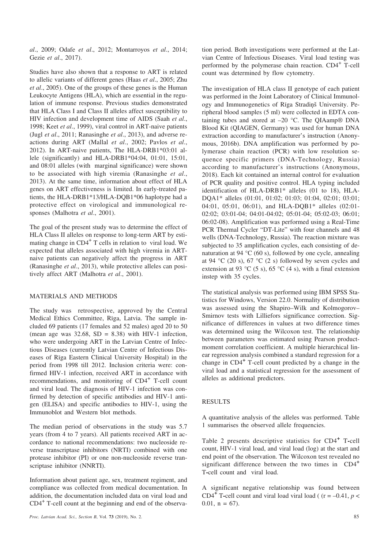*al*., 2009; Odafe *et al*., 2012; Montarroyos *et al*., 2014; Gezie *et al*., 2017).

Studies have also shown that a response to ART is related to allelic variants of different genes (Haas *et al*., 2005; Zhu *et al*., 2005). One of the groups of these genes is the Human Leukocyte Antigens (HLA), which are essential in the regulation of immune response. Previous studies demonstrated that HLA Class I and Class II alleles affect susceptibility to HIV infection and development time of AIDS (Saah *et al*., 1998; Keet *et al*., 1999), viral control in ART-naive patients (Jugl *et al*., 2011; Ranasinghe *et al*., 2013), and adverse reactions during ART (Mallal *et al*., 2002; Pavlos *et al*., 2012). In ART-naive patients, The HLA-DRB1\*03:01 allele (significantly) and HLA-DRB1\*04:04, 01:01, 15:01, and 08:01 alleles (with marginal significance) were shown to be associated with high viremia (Ranasinghe *et al*., 2013). At the same time, information about effect of HLA genes on ART effectiveness is limited. In early-treated patients, the HLA-DRB1\*13/HLA-DQB1\*06 haplotype had a protective effect on virological and immunological responses (Malhotra *et al*., 2001).

The goal of the present study was to determine the effect of HLA Class II alleles on response to long-term ART by estimating change in  $CD4^+$  T cells in relation to viral load. We expected that alleles associated with high viremia in ARTnaive patients can negatively affect the progress in ART (Ranasinghe *et al*., 2013), while protective alleles can positively affect ART (Malhotra *et al*., 2001).

# MATERIALS AND METHODS

The study was retrospective, approved by the Central Medical Ethics Committee, Rîga, Latvia. The sample included 69 patients (17 females and 52 males) aged 20 to 50 (mean age was  $32.68$ , SD = 8.38) with HIV-1 infection, who were undergoing ART in the Latvian Centre of Infectious Diseases (currently Latvian Centre of Infectious Diseases of Rîga Eastern Clinical University Hospital) in the period from 1998 till 2012. Inclusion criteria were: confirmed HIV-1 infection, received ART in accordance with recommendations, and monitoring of CD4<sup>+</sup> T-cell count and viral load. The diagnosis of HIV-1 infection was confirmed by detection of specific antibodies and HIV-1 antigen (ELISA) and specific antibodies to HIV-1, using the Immunoblot and Western blot methods.

The median period of observations in the study was 5.7 years (from 4 to 7 years). All patients received ART in accordance to national recommendations: two nucleoside reverse transcriptase inhibitors (NRTI) combined with one protease inhibitor (PI) or one non-nucleoside reverse transcriptase inhibitor (NNRTI).

Information about patient age, sex, treatment regiment, and compliance was collected from medical documentation. In addition, the documentation included data on viral load and  $CD4^+$  T-cell count at the beginning and end of the observation period. Both investigations were performed at the Latvian Centre of Infectious Diseases. Viral load testing was performed by the polymerase chain reaction. CD4<sup>+</sup> T-cell count was determined by flow cytometry.

The investigation of HLA class II genotype of each patient was performed in the Joint Laboratory of Clinical Immunology and Immunogenetics of Rīga Stradinš University. Peripheral blood samples (5 ml) were collected in EDTA containing tubes and stored at  $-20$  °C. The QIAamp® DNA Blood Kit (QIAGEN, Germany) was used for human DNA extraction according to manufacturer's instruction (Anonymous, 2016b). DNA amplification was performed by polymerase chain reaction (PCR) with low resolution sequence specific primers (DNA-Technology, Russia) according to manufacturer's instructions (Anonymous, 2018). Each kit contained an internal control for evaluation of PCR quality and positive control. HLA typing included identification of HLA-DRB1\* alleles (01 to 18), HLA-DQA1\* alleles (01:01, 01:02; 01:03; 01:04, 02:01; 03:01; 04:01, 05:01, 06:01), and HLA-DQB1\* alleles (02:01-02:02; 03:01-04; 04:01-04:02; 05:01-04; 05:02-03; 06:01; 06:02-08). Amplification was performed using a Real-Time PCR Thermal Cycler "DT-Lite" with four channels and 48 wells (DNA-Technology, Russia). The reaction mixture was subjected to 35 amplification cycles, each consisting of denaturation at 94 °C (60 s), followed by one cycle, annealing at 94 °C (20 s), 67 °C (2 s) followed by seven cycles and extension at 93 °C (5 s), 65 °C (4 s), with a final extension instep with 35 cycles.

The statistical analysis was performed using IBM SPSS Statistics for Windows, Version 22.0. Normality of distribution was assessed using the Shapiro–Wilk and Kolmogorov– Smirnov tests with Lilliefors significance correction. Significance of differences in values at two difference times was determined using the Wilcoxon test. The relationship between parameters was estimated using Pearson productmoment correlation coefficient. A multiple hierarchical linear regression analysis combined a standard regression for a change in CD4**<sup>+</sup>** T-cell count predicted by a change in the viral load and a statistical regression for the assessment of alleles as additional predictors.

#### RESULTS

A quantitative analysis of the alleles was performed. Table 1 summarises the observed allele frequencies.

Table 2 presents descriptive statistics for CD4**<sup>+</sup>** <sup>T</sup>**-**cell count, HIV-1 viral load, and viral load (log) at the start and end point of the observation. The Wilcoxon test revealed no significant difference between the two times in CD4**<sup>+</sup>** T**-**cell count and viral load.

A significant negative relationship was found between CD4<sup>+</sup> T-cell count and viral load viral load (  $(r = -0.41, p <$ 0.01,  $n = 67$ ).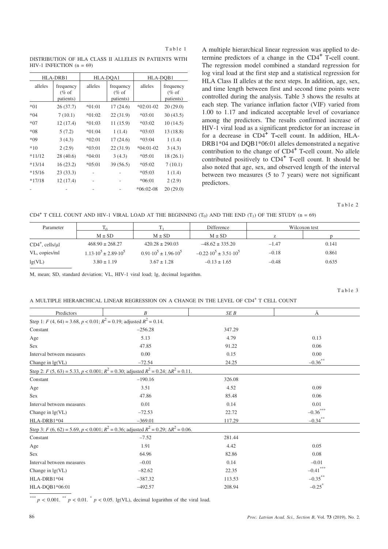DISTRIBUTION OF HLA CLASS II ALLELES IN PATIENTS WITH HIV-1 INFECTION  $(n = 69)$ 

| HLA-DRB1 |                                    | HLA-DOA1 |                                    | HLA-DOB1    |                                    |
|----------|------------------------------------|----------|------------------------------------|-------------|------------------------------------|
| alleles  | frequency<br>$(\%$ of<br>patients) | alleles  | frequency<br>$(\%$ of<br>patients) | alleles     | frequency<br>$(\%$ of<br>patients) |
| $*01$    | 26(37.7)                           | $*01:01$ | 17(24.6)                           | $*02:01-02$ | 20(29.0)                           |
| $*04$    | 7(10.1)                            | $*01:02$ | 22(31.9)                           | $*03:01$    | 30(43.5)                           |
| $*07$    | 12(17.4)                           | $*01:03$ | 11 (15.9)                          | $*03:02$    | 10(14.5)                           |
| $*08$    | 5(7.2)                             | $*01:04$ | 1(1.4)                             | $*03:03$    | 13 (18.8)                          |
| $*09$    | 3(4.3)                             | $*02:01$ | 17(24.6)                           | $*03:04$    | 1(1.4)                             |
| $*10$    | 2(2.9)                             | $*03:01$ | 22(31.9)                           | $*04:01-02$ | 3(4.3)                             |
| $*11/12$ | 28 (40.6)                          | $*04:01$ | 3(4.3)                             | $*05:01$    | 18 (26.1)                          |
| $*13/14$ | 16(23.2)                           | $*05:01$ | 39(56.5)                           | $*05:02$    | 7(10.1)                            |
| $*15/16$ | 23(33.3)                           |          |                                    | $*05:03$    | 1(1.4)                             |
| $*17/18$ | 12 (17.4)                          |          |                                    | $*06:01$    | 2(2.9)                             |
|          |                                    |          |                                    | $*06:02-08$ | 20(29.0)                           |

A multiple hierarchical linear regression was applied to determine predictors of a change in the CD4**<sup>+</sup>** <sup>T</sup>**-**cell count. The regression model combined a standard regression for log viral load at the first step and a statistical regression for HLA Class II alleles at the next steps. In addition, age, sex, and time length between first and second time points were controlled during the analysis. Table 3 shows the results at each step. The variance inflation factor (VIF) varied from 1.00 to 1.17 and indicated acceptable level of covariance among the predictors. The results confirmed increase of HIV-1 viral load as a significant predictor for an increase in for a decrease in CD4**<sup>+</sup>** <sup>T</sup>**-**cell count. In addition, HLA-DRB1\*04 and DQB1\*06:01 alleles demonstrated a negative contribution to the change of CD4**<sup>+</sup>** <sup>T</sup>**-**cell count. No allele contributed positively to CD4**<sup>+</sup>** <sup>T</sup>**-**cell count. It should be also noted that age, sex, and observed length of the interval between two measures (5 to 7 years) were not significant predictors.

Table 2

CD4<sup> $+$ </sup> T CELL COUNT AND HIV-1 VIRAL LOAD AT THE BEGINNING (T<sub>0</sub>) AND THE END (T<sub>1</sub>) OF THE STUDY (n = 69)

| Parameter                |                                       |                                       | Difference                             | Wilcoxon test |       |
|--------------------------|---------------------------------------|---------------------------------------|----------------------------------------|---------------|-------|
|                          | $M \pm SD$                            | $M \pm SD$                            | $M \pm SD$                             |               |       |
| $CD4^+$ , cells/ $\mu$ l | $468.90 \pm 268.27$                   | $420.28 \pm 290.03$                   | $-48.62 \pm 335.20$                    | $-1.47$       | 0.141 |
| VL, copies/ml            | $1.13 \cdot 10^5 \pm 2.89 \cdot 10^5$ | $0.91 \cdot 10^5 \pm 1.96 \cdot 10^5$ | $-0.22 \cdot 10^5 \pm 3.51 \cdot 10^5$ | $-0.18$       | 0.861 |
| lg(VL)                   | $3.80 \pm 1.19$                       | $3.67 \pm 1.28$                       | $-0.13 \pm 1.65$                       | $-0.48$       | 0.635 |

M, mean; SD, standard deviation; VL, HIV-1 viral load; lg, decimal logarithm.

Table 3

A MULTIPLE HIERARCHICAL LINEAR REGRESSION ON A CHANGE IN THE LEVEL OF CD4<sup>+</sup> T CELL COUNT

| Ā                    |
|----------------------|
|                      |
|                      |
| 0.13                 |
| 0.06                 |
| 0.00                 |
| $-0.36$ **           |
|                      |
|                      |
| 0.09                 |
| 0.06                 |
| 0.01                 |
| $-0.36$ ***          |
| $-0.34$ **           |
|                      |
|                      |
| 0.05                 |
| 0.08                 |
| $-0.01$              |
| $-0.41$ ***          |
| $-0.35***$           |
| $-0.25$ <sup>*</sup> |
|                      |

\*\*\*  $p < 0.001$ . \*\*  $p < 0.01$ . \*  $p < 0.05$ . lg(VL), decimal logarithm of the viral load.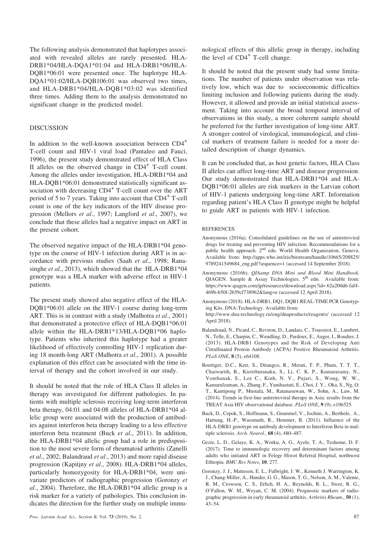The following analysis demonstrated that haplotypes associated with revealed alleles are rarely presented. HLA-DRB1\*04/HLA-DQA1\*01:04 and HLA-DRB1\*06/HLA-DQB1\*06:01 were presented once. The haplotype HLA-DQA1\*01:02/HLA-DQB106:01 was observed two times, and HLA-DRB1\*04/HLA-DQB1\*03:02 was identified three times. Adding them to the analysis demonstrated no significant change in the predicted model.

### DISCUSSION

In addition to the well-known association between CD4<sup>+</sup> T-cell count and HIV-1 viral load (Pantaleo and Fauci, 1996), the present study demonstrated effect of HLA Class II alleles on the observed change in  $CD4<sup>+</sup>$  T-cell count. Among the alleles under investigation, HLA-DRB1\*04 and HLA-DQB1\*06:01 demonstrated statistically significant association with decreasing CD4<sup>+</sup> T-cell count over the ART period of 5 to 7 years. Taking into account that  $CD4^+$  T-cell count is one of the key indicators of the HIV disease progression (Mellors *et al*., 1997; Langford *et al*., 2007), we conclude that these alleles had a negative impact on ART in the present cohort.

The observed negative impact of the HLA-DRB1\*04 genotype on the course of HIV-1 infection during ART is in accordance with previous studies (Saah *et al*., 1998; Ranasinghe *et al*., 2013), which showed that the HLA-DRB1\*04 genotype was a HLA marker with adverse effect in HIV-1 patients.

The present study showed also negative effect of the HLA-DQB1\*06:01 allele on the HIV-1 course during long-term ART. This is in contrast with a study (Malhotra *et al*., 2001) that demonstrated a protective effect of HLA-DQB1\*06:01 allele within the HLA-DRB1\*13/HLA-DQB1\*06 haplotype. Patients who inherited this haplotype had a greater likelihood of effectively controlling HIV-1 replication during 18 month-long ART (Malhotra *et al*., 2001). A possible explanation of this effect can be associated with the time interval of therapy and the cohort involved in our study.

It should be noted that the role of HLA Class II alleles in therapy was investigated for different pathologies. In patients with multiple sclerosis receiving long-term interferon beta therapy, 04:01 and 04:08 alleles of HLA-DRB1\*04 allelic group were associated with the production of antibodies against interferon beta therapy leading to a less effective interferon beta treatment (Buck *et al*., 2011). In addition, the HLA-DRB1\*04 allelic group had a role in predisposition to the most severe form of rheumatoid arthritis (Zanelli *et al*., 2002; Balandraud *et al*., 2013) and more rapid disease progression (Kapitjny *et al.*, 2008). HLA-DRB1\*04 alleles, particularly homozygosity for HLA-DRB1\*04, were univariate predictors of radiographic progression (Goronzy *et al*., 2004). Therefore, the HLA-DRB1\*04 allelic group is a risk marker for a variety of pathologies. This conclusion indicates the direction for the further study on multiple immunological effects of this allelic group in therapy, including the level of  $CD4^+$  T-cell change.

It should be noted that the present study had some limitations. The number of patients under observation was relatively low, which was due to socioeconomic difficulties limiting inclusion and following patients during the study. However, it allowed and provide an initial statistical assessment. Taking into account the broad temporal interval of observations in this study, a more coherent sample should be preferred for the further investigation of long-time ART. A stronger control of virological, immunological, and clinical markers of treatment failure is needed for a more detailed description of change dynamics.

It can be concluded that, as host genetic factors, HLA Class II alleles can affect long-time ART and disease progression. Our study demonstrated that HLA-DRB1\*04 and HLA-DQB1\*06:01 alleles are risk markers in the Latvian cohort of HIV-1 patients undergoing long-time ART. Information regarding patient's HLA Class II genotype might be helpful to guide ART in patients with HIV-1 infection.

#### **REFERENCES**

- Anonymous (2016a). Consolidated guidelines on the use of antiretroviral drugs for treating and preventing HIV infection: Recommendations for a public health approach. 2<sup>nd</sup> edn. World Health Organization, Geneva. Available from: http://apps.who.int/iris/bitstream/handle/10665/208825/ 9789241549684\_eng.pdf?sequence=1 (accessed 14 September 2018).
- Anonymous (2016b). *QIAamp DNA Mini and Blood Mini Handbook*. QIAGEN. Sample  $\&$  Assay Technologies,  $5<sup>th</sup>$  edn. Available from: https://www.qiagen.com/jp/resources/download.aspx?id= 62a200d6-faf4- 469b-b50f-2b59cf738962&lang=e (accessed 12 April 2018).
- Anonymous (2018). HLA-DRB1, DQ1, DQB1 REAL-TIME PCR Genotyping Kits. DNA-Technology. Available from: http://www.dna-technology.ru/eng/dnaproducts/reagents/ (accessed 12 April 2018).
- Balandraud, N., Picard, C., Reviron, D., Landais, C., Toussirot, E., Lambert, N., Telle, E., Charpin, C., Wendling, D., Pardoux, E., Auger, I., Roudier, J. (2013). HLA-DRB1 Genotypes and the Risk of Developing Anti Citrullinated Protein Antibody (ACPA) Positive Rheumatoid Arthritis. *PLoS ONE*, **8** (5), e64108.
- Boettiger, D.C., Kerr, S., Ditangco, R., Merati, T. P., Pham, T. T. T., Chaiwarith, R., Kiertiburanaku, S., Li, C. K. P., Kumarasamy, N., Vonthanak, S., Lee C., Kinh, N. V., Pujari, S., Wong, W. W., Kamarulzaman, A., Zhang, F., Yunihastuti, E., Choi, J. Y., Oka, S., Ng, O. T., Kantipong P., Mustafa, M., Ratanasuwan, W., Sohn, A., Law, M. (2014). Trends in first-line antiretroviral therapy in Asia: results from the TREAT Asia HIV observational database. *PLoS ONE*, **9** (9), e106525.
- Buck, D., Cepok, S., Hoffmann, S., Grummel, V., Jochim, A., Berthele, A., Hartung, H.-P., Wassmuth, R., Hemmer, B. (2011). Influence of the HLA-DRB1 genotype on antibody development to Interferon Beta in multiple sclerosis. *Arch. Neurol.*, **68** (4), 480–487.
- Gezie, L. D., Gelaye, K. A., Worku, A. G., Ayele, T. A., Teshome, D. F. (2017). Time to immunologic recovery and determinant factors among adults who initiated ART in Felege Hiwot Referral Hospital, northwest Ethiopia. *BMC Res Notes*, **10**, 277.
- Goronzy, J. J., Matteson, E. L., Fulbright, J. W., Kenneth J. Warrington, K. J., Chang-Miller, A., Hunder, G. G., Mason, T. G., Nelson, A. M., Valente, R. M., Crowson, C. S., Erlich, H. A., Reynolds, R. L., Swee, R. G., O'Fallon, W. M., Weyan, C. M. (2004). Prognostic markers of radiographic progression in early rheumatoid arthritis. *Arthritis Rheum.*, **50** (1), 43–54.